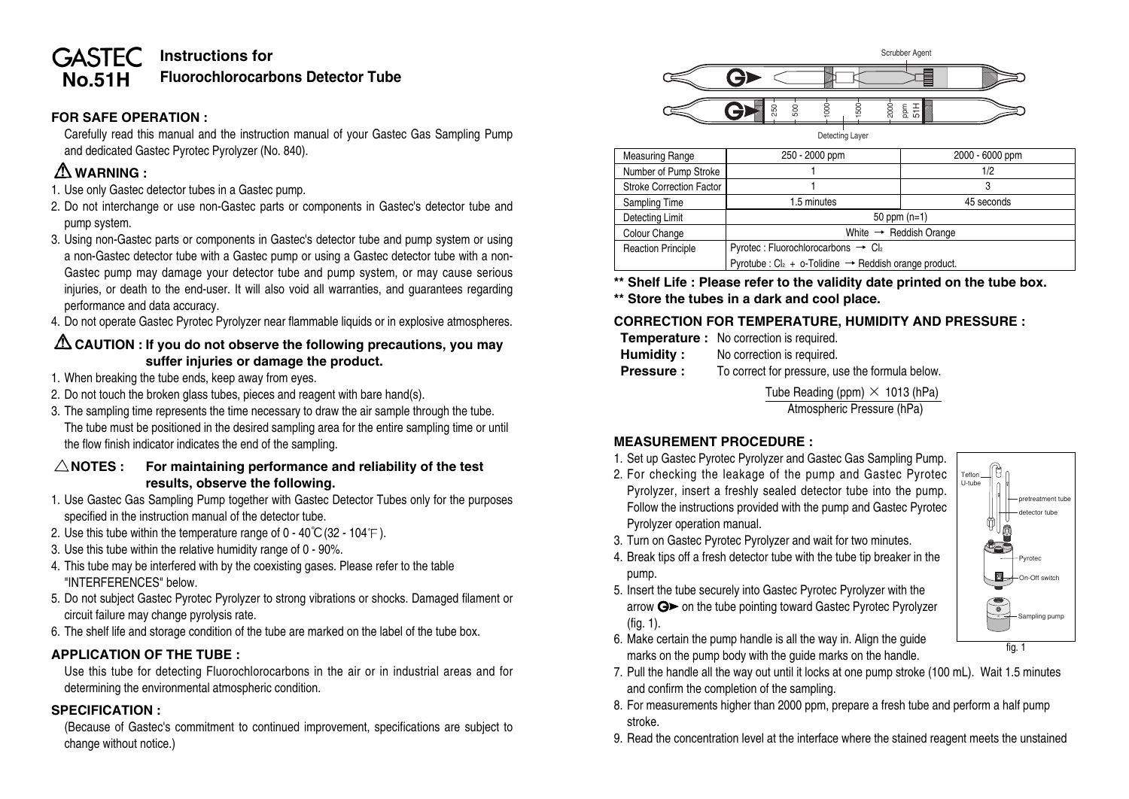#### **Instructions for GASTEC Fluorochlorocarbons Detector Tube No.51H**

## **FOR SAFE OPERATION :**

Carefully read this manual and the instruction manual of your Gastec Gas Sampling Pump and dedicated Gastec Pyrotec Pyrolyzer (No. 840).

# **WARNING :**

- 1. Use only Gastec detector tubes in a Gastec pump.
- 2. Do not interchange or use non-Gastec parts or components in Gastec's detector tube and pump system.
- 3. Using non-Gastec parts or components in Gastec's detector tube and pump system or using a non-Gastec detector tube with a Gastec pump or using a Gastec detector tube with a non-Gastec pump may damage your detector tube and pump system, or may cause serious injuries, or death to the end-user. It will also void all warranties, and guarantees regarding performance and data accuracy.
- 4. Do not operate Gastec Pyrotec Pyrolyzer near flammable liquids or in explosive atmospheres.

# **CAUTION : If you do not observe the following precautions, you may suffer injuries or damage the product.**

- 1. When breaking the tube ends, keep away from eyes.
- 2. Do not touch the broken glass tubes, pieces and reagent with bare hand(s).
- 3. The sampling time represents the time necessary to draw the air sample through the tube. The tube must be positioned in the desired sampling area for the entire sampling time or until the flow finish indicator indicates the end of the sampling.

## **NOTES : For maintaining performance and reliability of the test results, observe the following.**

- 1. Use Gastec Gas Sampling Pump together with Gastec Detector Tubes only for the purposes specified in the instruction manual of the detector tube.
- 2. Use this tube within the temperature range of  $0 40^{\circ}C(32 104^{\circ}F)$ .
- 3. Use this tube within the relative humidity range of 0 90%.
- 4. This tube may be interfered with by the coexisting gases. Please refer to the table "INTERFERENCES" below.
- 5. Do not subject Gastec Pyrotec Pyrolyzer to strong vibrations or shocks. Damaged filament or circuit failure may change pyrolysis rate.
- 6. The shelf life and storage condition of the tube are marked on the label of the tube box.

# **APPLICATION OF THE TUBE :**

Use this tube for detecting Fluorochlorocarbons in the air or in industrial areas and for determining the environmental atmospheric condition.

# **SPECIFICATION :**

(Because of Gastec's commitment to continued improvement, specifications are subject to change without notice.)



| <b>Measuring Range</b>    | 250 - 2000 ppm                                                        | 2000 - 6000 ppm |  |  |
|---------------------------|-----------------------------------------------------------------------|-----------------|--|--|
| Number of Pump Stroke     |                                                                       | 1/2             |  |  |
| Stroke Correction Factor  |                                                                       |                 |  |  |
| Sampling Time             | 1.5 minutes                                                           | 45 seconds      |  |  |
| <b>Detecting Limit</b>    | 50 ppm $(n=1)$                                                        |                 |  |  |
| Colour Change             | White $\rightarrow$ Reddish Orange                                    |                 |  |  |
| <b>Reaction Principle</b> | Pyrotec : Fluorochlorocarbons $\rightarrow$ Cl2                       |                 |  |  |
|                           | Pyrotube : $Cl_2 + o$ -Tolidine $\rightarrow$ Reddish orange product. |                 |  |  |

**\*\* Shelf Life : Please refer to the validity date printed on the tube box.**

**\*\* Store the tubes in a dark and cool place.**

# **CORRECTION FOR TEMPERATURE, HUMIDITY AND PRESSURE :**

- **Temperature :** No correction is required.
- **Humidity :** No correction is required.
- **Pressure :** To correct for pressure, use the formula below.

Tube Reading (ppm)  $\times$  1013 (hPa) Atmospheric Pressure (hPa)

# **MEASUREMENT PROCEDURE :**

- 1. Set up Gastec Pyrotec Pyrolyzer and Gastec Gas Sampling Pump.
- 2. For checking the leakage of the pump and Gastec Pyrotec Pyrolyzer, insert a freshly sealed detector tube into the pump. Follow the instructions provided with the pump and Gastec Pyrotec Pyrolyzer operation manual.



- 3. Turn on Gastec Pyrotec Pyrolyzer and wait for two minutes. 4. Break tips off a fresh detector tube with the tube tip breaker in the pump.
- 5. Insert the tube securely into Gastec Pyrotec Pyrolyzer with the arrow  $G$  on the tube pointing toward Gastec Pyrotec Pyrolyzer (fig. 1).
- 6. Make certain the pump handle is all the way in. Align the guide marks on the pump body with the guide marks on the handle.
- 7. Pull the handle all the way out until it locks at one pump stroke (100 mL). Wait 1.5 minutes and confirm the completion of the sampling.
- 8. For measurements higher than 2000 ppm, prepare a fresh tube and perform a half pump stroke.
- 9. Read the concentration level at the interface where the stained reagent meets the unstained